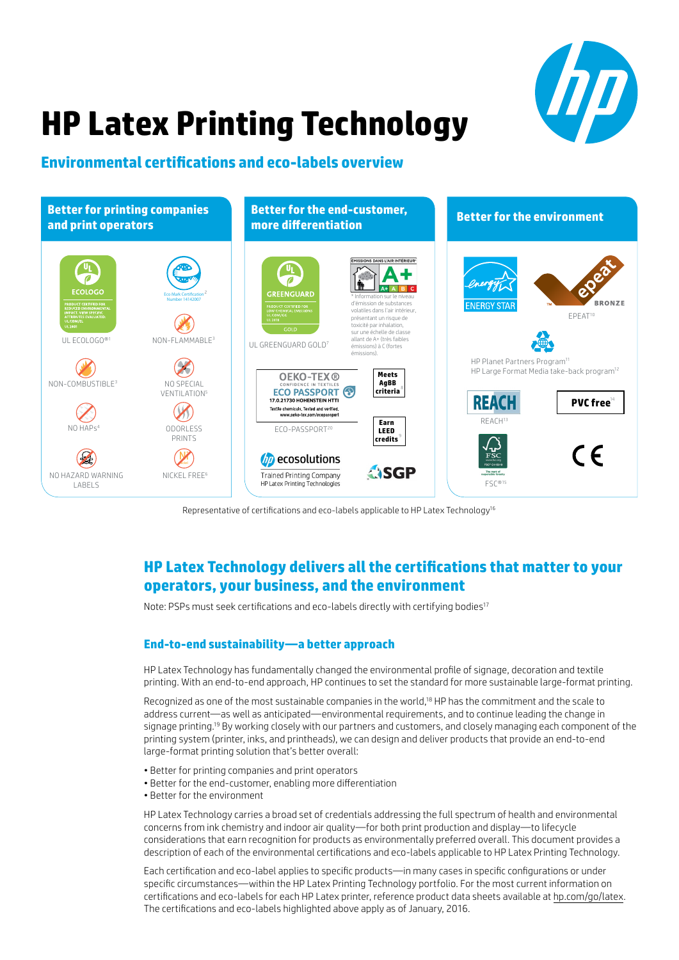

# **HP Latex Printing Technology**

# **Environmental certifications and eco-labels overview**



Representative of certifications and eco-labels applicable to HP Latex Technology<sup>16</sup>

# **HP Latex Technology delivers all the certifications that matter to your operators, your business, and the environment**

Note: PSPs must seek certifications and eco-labels directly with certifying bodies<sup>17</sup>

# **End-to-end sustainability—a better approach**

HP Latex Technology has fundamentally changed the environmental profile of signage, decoration and textile printing. With an end-to-end approach, HP continues to set the standard for more sustainable large-format printing.

Recognized as one of the most sustainable companies in the world,<sup>18</sup> HP has the commitment and the scale to address current—as well as anticipated—environmental requirements, and to continue leading the change in signage printing.<sup>19</sup> By working closely with our partners and customers, and closely managing each component of the printing system (printer, inks, and printheads), we can design and deliver products that provide an end-to-end large-format printing solution that's better overall:

- Better for printing companies and print operators
- Better for the end-customer, enabling more differentiation
- Better for the environment

HP Latex Technology carries a broad set of credentials addressing the full spectrum of health and environmental concerns from ink chemistry and indoor air quality—for both print production and display—to lifecycle considerations that earn recognition for products as environmentally preferred overall. This document provides a description of each of the environmental certifications and eco-labels applicable to HP Latex Printing Technology.

Each certification and eco-label applies to specific products—in many cases in specific configurations or under specific circumstances—within the HP Latex Printing Technology portfolio. For the most current information on certifications and eco-labels for each HP Latex printer, reference product data sheets available at [hp.com/go/latex.](http://hp.com/go/latex) The certifications and eco-labels highlighted above apply as of January, 2016.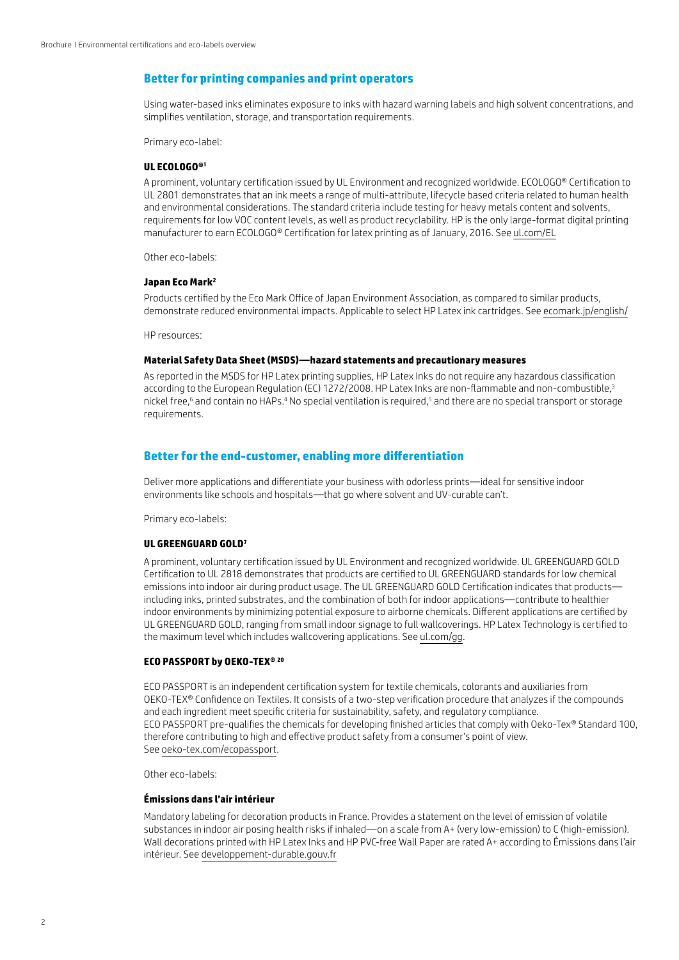# **Better for printing companies and print operators**

Using water-based inks eliminates exposure to inks with hazard warning labels and high solvent concentrations, and simplifies ventilation, storage, and transportation requirements.

Primary eco-label:

#### **UL ECOLOGO®1**

A prominent, voluntary certification issued by UL Environment and recognized worldwide. ECOLOGO® Certification to UL 2801 demonstrates that an ink meets a range of multi-attribute, lifecycle based criteria related to human health and environmental considerations. The standard criteria include testing for heavy metals content and solvents, requirements for low VOC content levels, as well as product recyclability. HP is the only large-format digital printing manufacturer to earn ECOLOGO® Certification for latex printing as of January, 2016. See [ul.com/EL](http://ul.com/EL)

Other eco-labels:

# **Japan Eco Mark2**

Products certified by the Eco Mark Office of Japan Environment Association, as compared to similar products, demonstrate reduced environmental impacts. Applicable to select HP Latex ink cartridges. See [ecomark.jp/english/](http://ecomark.jp/english/)

HP resources:

# **Material Safety Data Sheet (MSDS)—hazard statements and precautionary measures**

As reported in the MSDS for HP Latex printing supplies, HP Latex Inks do not require any hazardous classification according to the European Regulation (EC) 1272/2008. HP Latex Inks are non-flammable and non-combustible,<sup>3</sup> nickel free,<sup>6</sup> and contain no HAPs.<sup>4</sup> No special ventilation is required,<sup>5</sup> and there are no special transport or storage requirements.

# **Better for the end-customer, enabling more differentiation**

Deliver more applications and differentiate your business with odorless prints—ideal for sensitive indoor environments like schools and hospitals—that go where solvent and UV-curable can't.

Primary eco-labels:

#### **UL GREENGUARD GOLD7**

A prominent, voluntary certification issued by UL Environment and recognized worldwide. UL GREENGUARD GOLD Certification to UL 2818 demonstrates that products are certified to UL GREENGUARD standards for low chemical emissions into indoor air during product usage. The UL GREENGUARD GOLD Certification indicates that products including inks, printed substrates, and the combination of both for indoor applications—contribute to healthier indoor environments by minimizing potential exposure to airborne chemicals. Different applications are certified by UL GREENGUARD GOLD, ranging from small indoor signage to full wallcoverings. HP Latex Technology is certified to the maximum level which includes wallcovering applications. See [ul.com/gg.](http://ul.com/gg)

#### **ECO PASSPORT by OEKO-TEX® <sup>20</sup>**

ECO PASSPORT is an independent certification system for textile chemicals, colorants and auxiliaries from OEKO-TEX® Confidence on Textiles. It consists of a two-step verification procedure that analyzes if the compounds and each ingredient meet specific criteria for sustainability, safety, and regulatory compliance. ECO PASSPORT pre-qualifies the chemicals for developing finished articles that comply with Oeko-Tex® Standard 100, therefore contributing to high and effective product safety from a consumer's point of view. See [oeko-tex.com/ecopassport.](http://oeko-tex.com/ecopassport)

Other eco-labels:

#### **Émissions dans l'air intérieur**

Mandatory labeling for decoration products in France. Provides a statement on the level of emission of volatile substances in indoor air posing health risks if inhaled—on a scale from A+ (very low-emission) to C (high-emission). Wall decorations printed with HP Latex Inks and HP PVC-free Wall Paper are rated A+ according to Émissions dans l'air intérieur. See [developpement-durable.gouv.fr](http://developpement-durable.gouv.fr)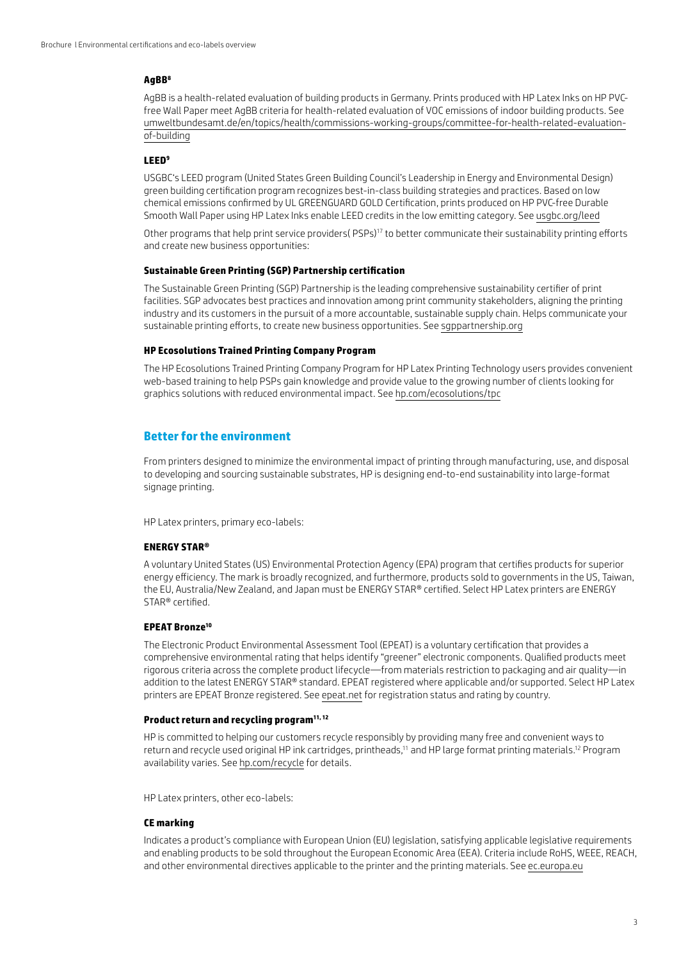## **AgBB8**

AgBB is a health-related evaluation of building products in Germany. Prints produced with HP Latex Inks on HP PVCfree Wall Paper meet AgBB criteria for health-related evaluation of VOC emissions of indoor building products. See [umweltbundesamt.de/en/topics/health/commissions-working-groups/committee-for-health-related-evaluation](http://umweltbundesamt.de/en/topics/health/commissions-working-groups/committee-for-health-related-evaluation-of-building)[of-building](http://umweltbundesamt.de/en/topics/health/commissions-working-groups/committee-for-health-related-evaluation-of-building)

## **LEED9**

USGBC's LEED program (United States Green Building Council's Leadership in Energy and Environmental Design) green building certification program recognizes best-in-class building strategies and practices. Based on low chemical emissions confirmed by UL GREENGUARD GOLD Certification, prints produced on HP PVC-free Durable Smooth Wall Paper using HP Latex Inks enable LEED credits in the low emitting category. See [usgbc.org/leed](http://usgbc.org/leed)

Other programs that help print service providers( $PSPs$ <sup>17</sup> to better communicate their sustainability printing efforts and create new business opportunities:

#### **Sustainable Green Printing (SGP) Partnership certification**

The Sustainable Green Printing (SGP) Partnership is the leading comprehensive sustainability certifier of print facilities. SGP advocates best practices and innovation among print community stakeholders, aligning the printing industry and its customers in the pursuit of a more accountable, sustainable supply chain. Helps communicate your sustainable printing efforts, to create new business opportunities. See [sgppartnership.org](http://sgppartnership.org)

#### **HP Ecosolutions Trained Printing Company Program**

The HP Ecosolutions Trained Printing Company Program for HP Latex Printing Technology users provides convenient web-based training to help PSPs gain knowledge and provide value to the growing number of clients looking for graphics solutions with reduced environmental impact. See [hp.com/ecosolutions/tpc](http://hp.com/ecosolutions/tpc)

# **Better for the environment**

From printers designed to minimize the environmental impact of printing through manufacturing, use, and disposal to developing and sourcing sustainable substrates, HP is designing end-to-end sustainability into large-format signage printing.

HP Latex printers, primary eco-labels:

#### **ENERGY STAR®**

A voluntary United States (US) Environmental Protection Agency (EPA) program that certifies products for superior energy efficiency. The mark is broadly recognized, and furthermore, products sold to governments in the US, Taiwan, the EU, Australia/New Zealand, and Japan must be ENERGY STAR® certified. Select HP Latex printers are ENERGY STAR® certified.

#### **EPEAT Bronze<sup>10</sup>**

The Electronic Product Environmental Assessment Tool (EPEAT) is a voluntary certification that provides a comprehensive environmental rating that helps identify "greener" electronic components. Qualified products meet rigorous criteria across the complete product lifecycle—from materials restriction to packaging and air quality—in addition to the latest ENERGY STAR® standard. EPEAT registered where applicable and/or supported. Select HP Latex printers are EPEAT Bronze registered. See [epeat.net](http://epeat.net) for registration status and rating by country.

## **Product return and recycling program11, 12**

HP is committed to helping our customers recycle responsibly by providing many free and convenient ways to return and recycle used original HP ink cartridges, printheads,<sup>11</sup> and HP large format printing materials.<sup>12</sup> Program availability varies. See [hp.com/recycle](http://hp.com/recycle) for details.

HP Latex printers, other eco-labels:

# **CE marking**

Indicates a product's compliance with European Union (EU) legislation, satisfying applicable legislative requirements and enabling products to be sold throughout the European Economic Area (EEA). Criteria include RoHS, WEEE, REACH, and other environmental directives applicable to the printer and the printing materials. See [ec.europa.eu](http://ec.europa.eu)